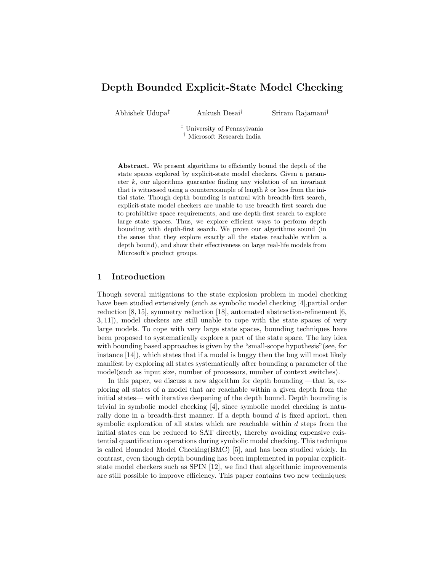# Depth Bounded Explicit-State Model Checking

Abhishek Udupa‡ Ankush Desai† Sriram Rajamani†

‡ University of Pennsylvania † Microsoft Research India

Abstract. We present algorithms to efficiently bound the depth of the state spaces explored by explicit-state model checkers. Given a parameter  $k$ , our algorithms guarantee finding any violation of an invariant that is witnessed using a counterexample of length  $k$  or less from the initial state. Though depth bounding is natural with breadth-first search, explicit-state model checkers are unable to use breadth first search due to prohibitive space requirements, and use depth-first search to explore large state spaces. Thus, we explore efficient ways to perform depth bounding with depth-first search. We prove our algorithms sound (in the sense that they explore exactly all the states reachable within a depth bound), and show their effectiveness on large real-life models from Microsoft's product groups.

### 1 Introduction

Though several mitigations to the state explosion problem in model checking have been studied extensively (such as symbolic model checking [4],partial order reduction [8, 15], symmetry reduction [18], automated abstraction-refinement [6, 3, 11]), model checkers are still unable to cope with the state spaces of very large models. To cope with very large state spaces, bounding techniques have been proposed to systematically explore a part of the state space. The key idea with bounding based approaches is given by the "small-scope hypothesis"(see, for instance [14]), which states that if a model is buggy then the bug will most likely manifest by exploring all states systematically after bounding a parameter of the model(such as input size, number of processors, number of context switches).

In this paper, we discuss a new algorithm for depth bounding —that is, exploring all states of a model that are reachable within a given depth from the initial states— with iterative deepening of the depth bound. Depth bounding is trivial in symbolic model checking [4], since symbolic model checking is naturally done in a breadth-first manner. If a depth bound  $d$  is fixed apriori, then symbolic exploration of all states which are reachable within  $d$  steps from the initial states can be reduced to SAT directly, thereby avoiding expensive existential quantification operations during symbolic model checking. This technique is called Bounded Model Checking(BMC) [5], and has been studied widely. In contrast, even though depth bounding has been implemented in popular explicitstate model checkers such as SPIN [12], we find that algorithmic improvements are still possible to improve efficiency. This paper contains two new techniques: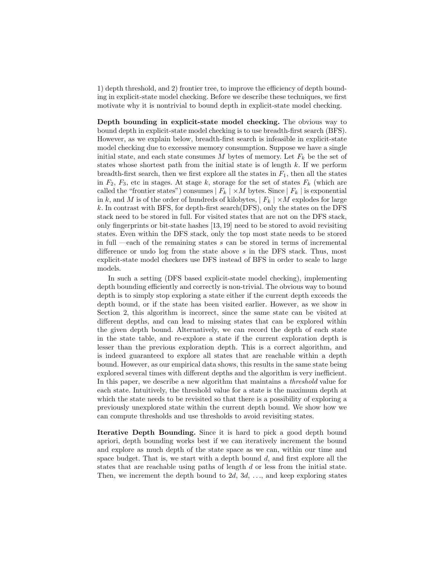1) depth threshold, and 2) frontier tree, to improve the efficiency of depth bounding in explicit-state model checking. Before we describe these techniques, we first motivate why it is nontrivial to bound depth in explicit-state model checking.

Depth bounding in explicit-state model checking. The obvious way to bound depth in explicit-state model checking is to use breadth-first search (BFS). However, as we explain below, breadth-first search is infeasible in explicit-state model checking due to excessive memory consumption. Suppose we have a single initial state, and each state consumes  $M$  bytes of memory. Let  $F_k$  be the set of states whose shortest path from the initial state is of length  $k$ . If we perform breadth-first search, then we first explore all the states in  $F_1$ , then all the states in  $F_2$ ,  $F_3$ , etc in stages. At stage k, storage for the set of states  $F_k$  (which are called the "frontier states") consumes  $|F_k| \times M$  bytes. Since  $|F_k|$  is exponential in k, and M is of the order of hundreds of kilobytes,  $|F_k| \times M$  explodes for large k. In contrast with BFS, for depth-first search(DFS), only the states on the DFS stack need to be stored in full. For visited states that are not on the DFS stack, only fingerprints or bit-state hashes [13, 19] need to be stored to avoid revisiting states. Even within the DFS stack, only the top most state needs to be stored in full —each of the remaining states  $s$  can be stored in terms of incremental difference or undo log from the state above s in the DFS stack. Thus, most explicit-state model checkers use DFS instead of BFS in order to scale to large models.

In such a setting (DFS based explicit-state model checking), implementing depth bounding efficiently and correctly is non-trivial. The obvious way to bound depth is to simply stop exploring a state either if the current depth exceeds the depth bound, or if the state has been visited earlier. However, as we show in Section 2, this algorithm is incorrect, since the same state can be visited at different depths, and can lead to missing states that can be explored within the given depth bound. Alternatively, we can record the depth of each state in the state table, and re-explore a state if the current exploration depth is lesser than the previous exploration depth. This is a correct algorithm, and is indeed guaranteed to explore all states that are reachable within a depth bound. However, as our empirical data shows, this results in the same state being explored several times with different depths and the algorithm is very inefficient. In this paper, we describe a new algorithm that maintains a threshold value for each state. Intuitively, the threshold value for a state is the maximum depth at which the state needs to be revisited so that there is a possibility of exploring a previously unexplored state within the current depth bound. We show how we can compute thresholds and use thresholds to avoid revisiting states.

Iterative Depth Bounding. Since it is hard to pick a good depth bound apriori, depth bounding works best if we can iteratively increment the bound and explore as much depth of the state space as we can, within our time and space budget. That is, we start with a depth bound  $d$ , and first explore all the states that are reachable using paths of length d or less from the initial state. Then, we increment the depth bound to  $2d$ ,  $3d$ , ..., and keep exploring states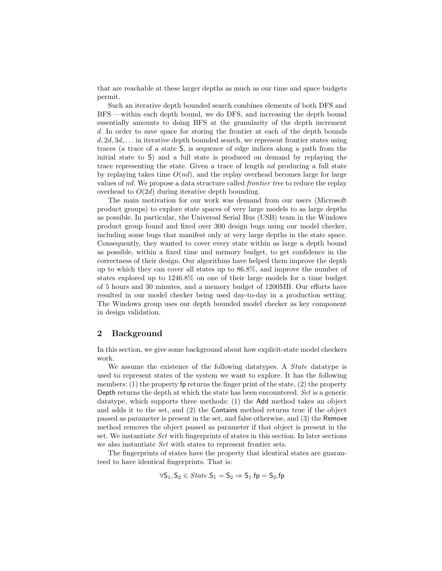that are reachable at these larger depths as much as our time and space budgets permit.

Such an iterative depth bounded search combines elements of both DFS and BFS —within each depth bound, we do DFS, and increasing the depth bound essentially amounts to doing BFS at the granularity of the depth increment d. In order to save space for storing the frontier at each of the depth bounds  $d, 2d, 3d, \ldots$  in iterative depth bounded search, we represent frontier states using traces (a trace of a state S, is sequence of edge indices along a path from the initial state to S) and a full state is produced on demand by replaying the trace representing the state. Given a trace of length nd producing a full state by replaying takes time  $O(nd)$ , and the replay overhead becomes large for large values of nd. We propose a data structure called frontier tree to reduce the replay overhead to  $O(2d)$  during iterative depth bounding.

The main motivation for our work was demand from our users (Microsoft product groups) to explore state spaces of very large models to as large depths as possible. In particular, the Universal Serial Bus (USB) team in the Windows product group found and fixed over 300 design bugs using our model checker, including some bugs that manifest only at very large depths in the state space. Consequently, they wanted to cover every state within as large a depth bound as possible, within a fixed time and memory budget, to get confidence in the correctness of their design. Our algorithms have helped them improve the depth up to which they can cover all states up to 86.8%, and improve the number of states explored up to 1246.8% on one of their large models for a time budget of 5 hours and 30 minutes, and a memory budget of 1200MB. Our efforts have resulted in our model checker being used day-to-day in a production setting. The Windows group uses our depth bounded model checker as key component in design validation.

### 2 Background

In this section, we give some background about how explicit-state model checkers work.

We assume the existence of the following datatypes. A *State* datatype is used to represent states of the system we want to explore. It has the following members:  $(1)$  the property fp returns the finger print of the state,  $(2)$  the property Depth returns the depth at which the state has been encountered. Set is a generic datatype, which supports three methods: (1) the Add method takes an object and adds it to the set, and (2) the Contains method returns true if the object passed as parameter is present in the set, and false otherwise, and (3) the Remove method removes the object passed as parameter if that object is present in the set. We instantiate Set with fingerprints of states in this section. In later sections we also instantiate Set with states to represent frontier sets.

The fingerprints of states have the property that identical states are guaranteed to have identical fingerprints. That is:

$$
\forall S_1, S_2 \in \mathit{State}.S_1 = S_2 \Rightarrow S_1.\mathsf{fp} = S_2.\mathsf{fp}
$$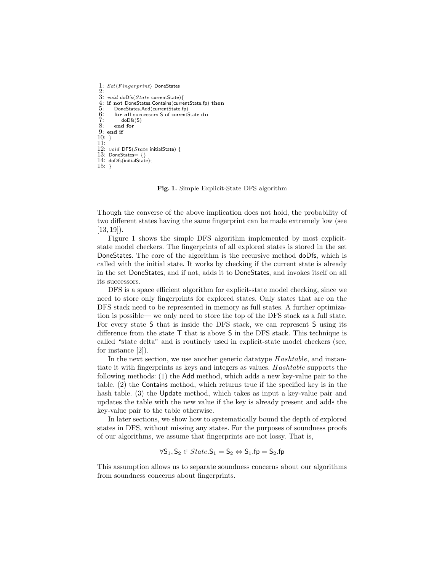```
1: Set \langle Fingerprint \rangle DoneStates
 2: 3: void doDfs(State currentState){
4: if not DoneStates.Contains(currentState.fp) then<br>5: DoneStates.Add(currentState.fp)
5: DoneStates.Add(currentState.fp)<br>6: for all successors S of current!
6: for all successors S of currentState do 7: doDfs(S)
7: doDfs(S)
        end for
9: end if
10: }
11 \cdot12: void DFS(State initialState) {
13: DoneStates= {}
14: doDfs(initialState);
15: }
```
Fig. 1. Simple Explicit-State DFS algorithm

Though the converse of the above implication does not hold, the probability of two different states having the same fingerprint can be made extremely low (see  $[13, 19]$ ).

Figure 1 shows the simple DFS algorithm implemented by most explicitstate model checkers. The fingerprints of all explored states is stored in the set DoneStates. The core of the algorithm is the recursive method doDfs, which is called with the initial state. It works by checking if the current state is already in the set DoneStates, and if not, adds it to DoneStates, and invokes itself on all its successors.

DFS is a space efficient algorithm for explicit-state model checking, since we need to store only fingerprints for explored states. Only states that are on the DFS stack need to be represented in memory as full states. A further optimization is possible— we only need to store the top of the DFS stack as a full state. For every state S that is inside the DFS stack, we can represent S using its difference from the state T that is above S in the DFS stack. This technique is called "state delta" and is routinely used in explicit-state model checkers (see, for instance [2]).

In the next section, we use another generic datatype  $Hashtable$ , and instantiate it with fingerprints as keys and integers as values. Hashtable supports the following methods: (1) the Add method, which adds a new key-value pair to the table. (2) the Contains method, which returns true if the specified key is in the hash table. (3) the Update method, which takes as input a key-value pair and updates the table with the new value if the key is already present and adds the key-value pair to the table otherwise.

In later sections, we show how to systematically bound the depth of explored states in DFS, without missing any states. For the purposes of soundness proofs of our algorithms, we assume that fingerprints are not lossy. That is,

$$
\forall S_1, S_2 \in \textit{State} . S_1 = S_2 \Leftrightarrow S_1 . \mathsf{fp} = S_2 . \mathsf{fp}
$$

This assumption allows us to separate soundness concerns about our algorithms from soundness concerns about fingerprints.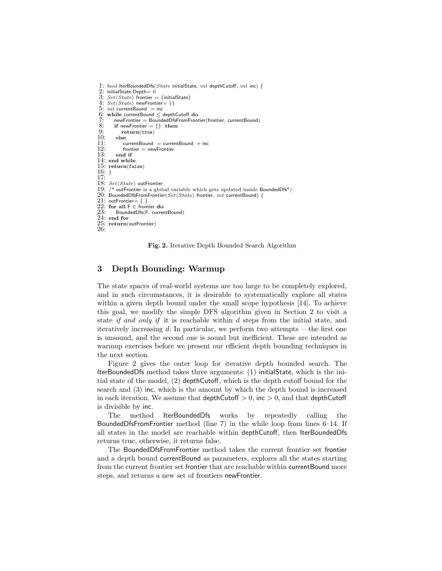```
1: bool IterBoundedDfs(State initialState, int depthCutoff, int inc) {
    initialState.Deoth = 03: Set(State) frontier = {initialState}
4: Set(\text{State}) newFrontier= {}
5: int currentBound = inc
6: while currentBound \leq depthCutoff do<br>7: newFrontier = BoundedDfsFromFront
7: newFrontier = BoundedDfsFromFrontier(frontier, currentBound)<br>8: if newFrontier = {} then
8: if newFrontier = \{\} then<br>9: return(true)
9: return(true)<br>10: else
10: else<br>11: cu
11: currentBound = currentBound + inc<br>12: frontier = newFrontier
12: frontier = newFrontier<br>13: end if
         end if
14: end while
15: return(false)
16: }
17:
18: Set(State) outFrontier
19: /* outFrontier is a global variable which gets updated inside BoundedDfs*/
20: BoundedDfsFromFrontier(Set\langle State\rangle frontier, int currentBound) {
21: outFrontier= { }
22: for all F \in frontier do<br>23: BoundedDfs(F, currer
        BoundedDfs(F, currentBound)
24: end for
25: return(outFrontier)
26:
```
Fig. 2. Iterative Depth Bounded Search Algorithm

## 3 Depth Bounding: Warmup

The state spaces of real-world systems are too large to be completely explored, and in such circumstances, it is desirable to systematically explore all states within a given depth bound under the small scope hypothesis [14]. To achieve this goal, we modify the simple DFS algorithm given in Section 2 to visit a state *if and only if* it is reachable within d steps from the initial state, and iteratively increasing  $d$ . In particular, we perform two attempts —the first one is unsound, and the second one is sound but inefficient. These are intended as warmup exercises before we present our efficient depth bounding techniques in the next section.

Figure 2 gives the outer loop for iterative depth bounded search. The IterBoundedDfs method takes three arguments: (1) initialState, which is the initial state of the model, (2) depthCutoff, which is the depth cutoff bound for the search and (3) inc, which is the amount by which the depth bound is increased in each iteration. We assume that depthCutoff  $> 0$ , inc  $> 0$ , and that depthCutoff is divisible by inc.

The method IterBoundedDfs works by repeatedly calling the BoundedDfsFromFrontier method (line 7) in the while loop from lines 6–14. If all states in the model are reachable within depthCutoff, then IterBoundedDfs returns true, otherwise, it returns false.

The BoundedDfsFromFrontier method takes the current frontier set frontier and a depth bound currentBound as parameters, explores all the states starting from the current frontier set frontier that are reachable within currentBound more steps, and returns a new set of frontiers newFrontier.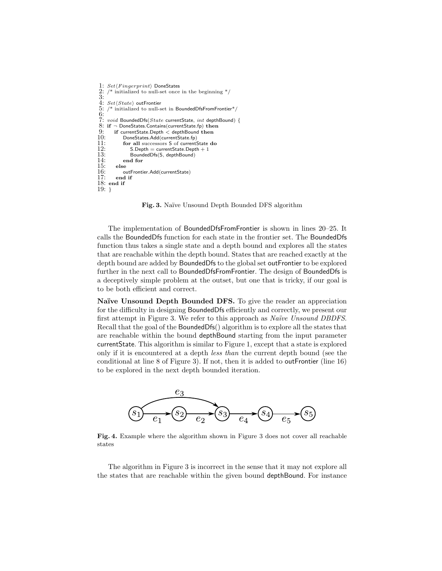```
1: Set \langle Fingerprint \rangle DoneStates
      \frac{1}{2} initialized to null-set once in the beginning \frac{1}{2}\frac{2:}{3:}4: Set(State) outFrontier<br>5: /* initialized to null-s
      /* initialized to null-set in BoundedDfsFromFrontier*/
\frac{6}{7}7: void BoundedDfs(State currentState, int depthBound) {<br>8: if \neg DoneStates.Contains(currentState.fp) then<br>9: if currentState.Depth < depthBound then
     {\bf if} \neg DoneStates.Contains(currentState.fp) {\bf then}9: if currentState.Depth \lt depthBound then<br>10: DoneStates Add(currentState fn)
10: DoneStates.Add(currentState.fp)<br>11: for all successors S of current!
11: for all successors S of currentState do<br>12: S.Depth = currentState.Depth + 1
12: S.Depth = currentState.Depth + 1<br>13: BoundedDfs(S. depthBound)
13: BoundedDfs(S, depthBound)<br>14: end for
\frac{14}{15}: end for
            else
16: outFrontier.Add(currentState)<br>17: end if
            end if
18: end if
19: }
```
Fig. 3. Naïve Unsound Depth Bounded DFS algorithm

The implementation of BoundedDfsFromFrontier is shown in lines 20–25. It calls the BoundedDfs function for each state in the frontier set. The BoundedDfs function thus takes a single state and a depth bound and explores all the states that are reachable within the depth bound. States that are reached exactly at the depth bound are added by BoundedDfs to the global set outFrontier to be explored further in the next call to BoundedDfsFromFrontier. The design of BoundedDfs is a deceptively simple problem at the outset, but one that is tricky, if our goal is to be both efficient and correct.

Naïve Unsound Depth Bounded DFS. To give the reader an appreciation for the difficulty in designing BoundedDfs efficiently and correctly, we present our first attempt in Figure 3. We refer to this approach as *Naïve Unsound DBDFS*. Recall that the goal of the BoundedDfs() algorithm is to explore all the states that are reachable within the bound depthBound starting from the input parameter currentState. This algorithm is similar to Figure 1, except that a state is explored only if it is encountered at a depth less than the current depth bound (see the conditional at line 8 of Figure 3). If not, then it is added to outFrontier (line 16) to be explored in the next depth bounded iteration.



Fig. 4. Example where the algorithm shown in Figure 3 does not cover all reachable states

The algorithm in Figure 3 is incorrect in the sense that it may not explore all the states that are reachable within the given bound depthBound. For instance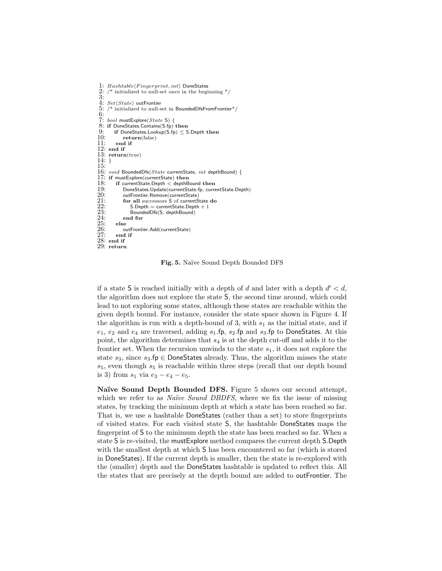```
1: Hashtable\langle Fingerprint, int \rangle DoneStates
     \frac{1}{2} initialized to null-set once in the beginning \frac{1}{2}\frac{2}{3}:<br>4:
4: Set(State) outFrontier<br>5: /* initialized to null-s
     /* initialized to null-set in BoundedDfsFromFrontier*/
rac{6}{7}:
7: bool mustExplore(State S) {<br>8: if DoneStates.Contains(S.fp)
8: if DoneStates.Contains(S.fp) then<br>9: if DoneStates.Lookup(S.fp) \leq S
9: if DoneStates.Lookup(S.fp) \leq S.Depth then 10: return(false)
10: return(false)<br>11: end if
           end if
12: end if
13: return(true)
14: }
15:
16: void BoundedDfs(State currentState, int depthBound) {
17: if mustExplore(currentState) then
18: if currentState.Depth < depthBound then<br>19: DoneStates.Update(currentState.fp. curre
19: DoneStates.Update(currentState.fp, currentState.Depth)<br>20: outFrontier.Remove(currentState)
20: outFrontier.Remove(currentState)<br>21: for all successors S of currentS<br>22: S.Depth = currentState.Depth
               for all successors S of currentState do
22: S.Depth = currentState.Depth + 1<br>23: BoundedDfs(S. depthBound)
23: BoundedDfs(S, depthBound)<br>24: end for<br>25: else
               end{\mathop{\mathrm{for}}\nolimits}25: else<br>26: o<br>27: end
               outFrontier.Add(currentState)
           27: end if
28: end if
29: return
```
Fig. 5. Naïve Sound Depth Bounded DFS

if a state S is reached initially with a depth of d and later with a depth  $d' < d$ , the algorithm does not explore the state S, the second time around, which could lead to not exploring some states, although these states are reachable within the given depth bound. For instance, consider the state space shown in Figure 4. If the algorithm is run with a depth-bound of 3, with  $s_1$  as the initial state, and if  $e_1, e_2$  and  $e_4$  are traversed, adding  $s_1$ .fp,  $s_2$ .fp and  $s_3$ .fp to DoneStates. At this point, the algorithm determines that  $s_4$  is at the depth cut-off and adds it to the frontier set. When the recursion unwinds to the state  $s_1$ , it does not explore the state  $s_3$ , since  $s_3$ .fp  $\in$  DoneStates already. Thus, the algorithm misses the state  $s<sub>5</sub>$ , even though  $s<sub>5</sub>$  is reachable within three steps (recall that our depth bound is 3) from  $s_1$  via  $e_3 - e_4 - e_5$ .

Naïve Sound Depth Bounded DFS. Figure 5 shows our second attempt, which we refer to as *Naïve Sound DBDFS*, where we fix the issue of missing states, by tracking the minimum depth at which a state has been reached so far. That is, we use a hashtable DoneStates (rather than a set) to store fingerprints of visited states. For each visited state S, the hashtable DoneStates maps the fingerprint of S to the minimum depth the state has been reached so far. When a state S is re-visited, the mustExplore method compares the current depth S.Depth with the smallest depth at which S has been encountered so far (which is stored in DoneStates). If the current depth is smaller, then the state is re-explored with the (smaller) depth and the DoneStates hashtable is updated to reflect this. All the states that are precisely at the depth bound are added to outFrontier. The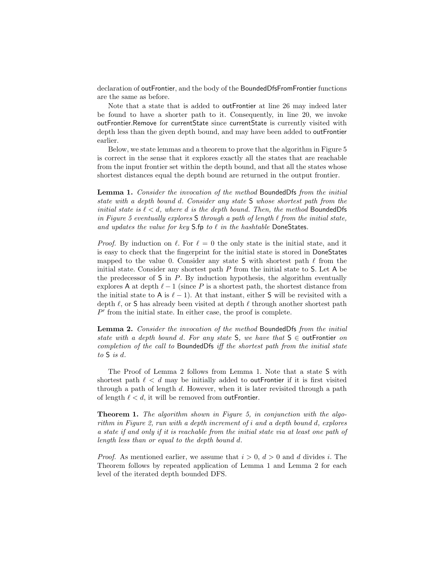declaration of outFrontier, and the body of the BoundedDfsFromFrontier functions are the same as before.

Note that a state that is added to outFrontier at line 26 may indeed later be found to have a shorter path to it. Consequently, in line 20, we invoke outFrontier.Remove for currentState since currentState is currently visited with depth less than the given depth bound, and may have been added to outFrontier earlier.

Below, we state lemmas and a theorem to prove that the algorithm in Figure 5 is correct in the sense that it explores exactly all the states that are reachable from the input frontier set within the depth bound, and that all the states whose shortest distances equal the depth bound are returned in the output frontier.

Lemma 1. Consider the invocation of the method BoundedDfs from the initial state with a depth bound d. Consider any state S whose shortest path from the initial state is  $\ell < d$ , where d is the depth bound. Then, the method BoundedDfs in Figure 5 eventually explores  $S$  through a path of length  $\ell$  from the initial state, and updates the value for key  $S$ . fp to  $\ell$  in the hashtable DoneStates.

*Proof.* By induction on  $\ell$ . For  $\ell = 0$  the only state is the initial state, and it is easy to check that the fingerprint for the initial state is stored in DoneStates mapped to the value 0. Consider any state  $S$  with shortest path  $\ell$  from the initial state. Consider any shortest path  $P$  from the initial state to  $S$ . Let  $A$  be the predecessor of  $S$  in  $P$ . By induction hypothesis, the algorithm eventually explores A at depth  $\ell - 1$  (since P is a shortest path, the shortest distance from the initial state to A is  $\ell - 1$ ). At that instant, either S will be revisited with a depth  $\ell$ , or S has already been visited at depth  $\ell$  through another shortest path  $P'$  from the initial state. In either case, the proof is complete.

Lemma 2. Consider the invocation of the method BoundedDfs from the initial state with a depth bound d. For any state S, we have that  $S \in \text{outFrontier}$  on completion of the call to BoundedDfs iff the shortest path from the initial state to  $S$  is d.

The Proof of Lemma 2 follows from Lemma 1. Note that a state S with shortest path  $\ell < d$  may be initially added to outFrontier if it is first visited through a path of length  $d$ . However, when it is later revisited through a path of length  $\ell < d$ , it will be removed from outFrontier.

Theorem 1. The algorithm shown in Figure 5, in conjunction with the algorithm in Figure 2, run with a depth increment of i and a depth bound d, explores a state if and only if it is reachable from the initial state via at least one path of length less than or equal to the depth bound d.

*Proof.* As mentioned earlier, we assume that  $i > 0$ ,  $d > 0$  and d divides i. The Theorem follows by repeated application of Lemma 1 and Lemma 2 for each level of the iterated depth bounded DFS.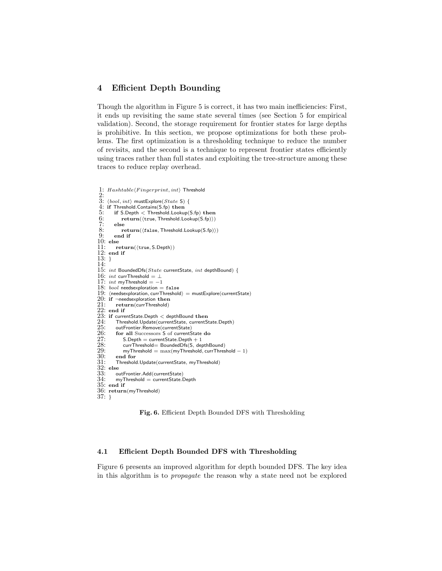### 4 Efficient Depth Bounding

Though the algorithm in Figure 5 is correct, it has two main inefficiencies: First, it ends up revisiting the same state several times (see Section 5 for empirical validation). Second, the storage requirement for frontier states for large depths is prohibitive. In this section, we propose optimizations for both these problems. The first optimization is a thresholding technique to reduce the number of revisits, and the second is a technique to represent frontier states efficiently using traces rather than full states and exploiting the tree-structure among these traces to reduce replay overhead.

```
1: Hashtable\langle Fingerprint, int \rangle Threshold 2:
 3: \langle bool, int \rangle mustExplore(State S) {
 4: if Threshold.Contains(S.fp) then<br>5: if S.Depth < Threshold.Looku
 5: if S.Depth \lt Threshold.Lookup(S.fp) then<br>6: return(\langle true, Threshold.Lookup(S.f) \rangle)<br>7: else
               return(\langle true, Threshold.Lookup(S.fp)\rangle)7: else<br>8: r<sub>q</sub>8: return(\langle false, Threshold.Lookup(S.fp) \rangle)<br>9: end if
          end if
\begin{array}{c} 10: \text{ else} \\ 11: \text{ re} \end{array}return(\langle true, S.Depth \rangle)12: end if
13: }
14:
15: int BoundedDfs(State currentState, int depthBound) {
16: int currThreshold = \perp17: int myThreshold = -118: \; \textit{bool} needsexploration = false
19: \langleneedsexploration, currThreshold\rangle = mustExplore(currentState)
20: if \negneedsexploration then<br>21: return(currThreshold)
          return(currThreshold)
22: end if
23: if currentState.Depth \langle depthBound then<br>24: Threshold.Update(currentState, currentSt
24: Threshold.Update(currentState, currentState.Depth)<br>25: outFrontier.Remove(currentState)
25: outFrontier.Remove(currentState)<br>26: for all Successors S of currentS
26: for all Successors S of currentState do 27: S.Depth = currentState.Depth + 1
27: S.Depth = currentState.Depth + 1<br>28: currThreshold= BoundedDfs(S, deg
28: currThreshold= BoundedDfs(S, depthBound)<br>29: myThreshold = \max(\text{mvThreshold}, \text{currThres})29: myThreshold = max(myThreshold, currThreshold - 1)<br>30: end for
30: end for<br>31: Threshole
           Threshold.Update(currentState, myThreshold)
\frac{32}{33}: else<br>\frac{33}{34}: m
           outFrontier.Add(currentState)
           mvThreshold = currentState.Depth35: end if
36: return(myThreshold)
37: }
```
Fig. 6. Efficient Depth Bounded DFS with Thresholding

### 4.1 Efficient Depth Bounded DFS with Thresholding

Figure 6 presents an improved algorithm for depth bounded DFS. The key idea in this algorithm is to propagate the reason why a state need not be explored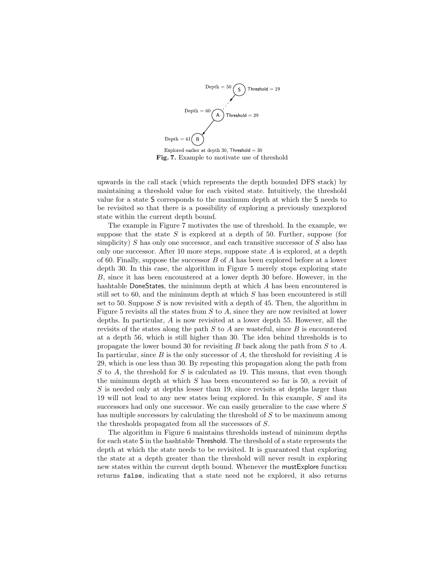

upwards in the call stack (which represents the depth bounded DFS stack) by maintaining a threshold value for each visited state. Intuitively, the threshold value for a state S corresponds to the maximum depth at which the S needs to be revisited so that there is a possibility of exploring a previously unexplored state within the current depth bound.

The example in Figure 7 motivates the use of threshold. In the example, we suppose that the state S is explored at a depth of 50. Further, suppose (for simplicity)  $S$  has only one successor, and each transitive successor of  $S$  also has only one successor. After 10 more steps, suppose state  $A$  is explored, at a depth of 60. Finally, suppose the successor  $B$  of  $A$  has been explored before at a lower depth 30. In this case, the algorithm in Figure 5 merely stops exploring state B, since it has been encountered at a lower depth 30 before. However, in the hashtable DoneStates, the minimum depth at which A has been encountered is still set to 60, and the minimum depth at which  $S$  has been encountered is still set to 50. Suppose  $S$  is now revisited with a depth of 45. Then, the algorithm in Figure 5 revisits all the states from S to A, since they are now revisited at lower depths. In particular, A is now revisited at a lower depth 55. However, all the revisits of the states along the path  $S$  to  $A$  are wasteful, since  $B$  is encountered at a depth 56, which is still higher than 30. The idea behind thresholds is to propagate the lower bound 30 for revisiting B back along the path from S to A. In particular, since  $B$  is the only successor of  $A$ , the threshold for revisiting  $A$  is 29, which is one less than 30. By repeating this propagation along the path from  $S$  to  $A$ , the threshold for  $S$  is calculated as 19. This means, that even though the minimum depth at which  $S$  has been encountered so far is 50, a revisit of  $S$  is needed only at depths lesser than 19, since revisits at depths larger than 19 will not lead to any new states being explored. In this example, S and its successors had only one successor. We can easily generalize to the case where S has multiple successors by calculating the threshold of S to be maximum among the thresholds propagated from all the successors of S.

The algorithm in Figure 6 maintains thresholds instead of minimum depths for each state S in the hashtable Threshold. The threshold of a state represents the depth at which the state needs to be revisited. It is guaranteed that exploring the state at a depth greater than the threshold will never result in exploring new states within the current depth bound. Whenever the mustExplore function returns false, indicating that a state need not be explored, it also returns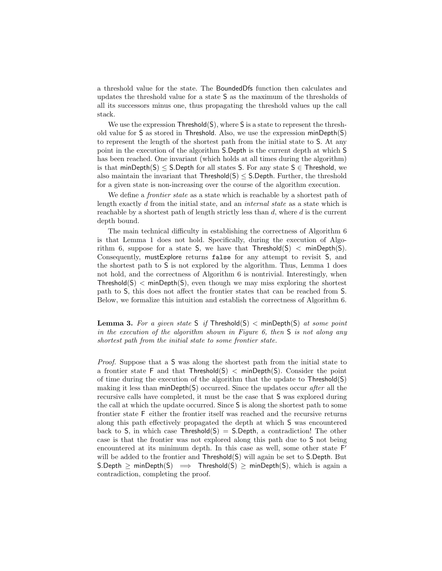a threshold value for the state. The BoundedDfs function then calculates and updates the threshold value for a state S as the maximum of the thresholds of all its successors minus one, thus propagating the threshold values up the call stack.

We use the expression  $Threshold(S)$ , where  $S$  is a state to represent the threshold value for S as stored in Threshold. Also, we use the expression minDepth(S) to represent the length of the shortest path from the initial state to S. At any point in the execution of the algorithm S.Depth is the current depth at which S has been reached. One invariant (which holds at all times during the algorithm) is that minDepth(S)  $\leq$  S.Depth for all states S. For any state S  $\in$  Threshold, we also maintain the invariant that  $Threshold(S) \leq S.D$ epth. Further, the threshold for a given state is non-increasing over the course of the algorithm execution.

We define a *frontier state* as a state which is reachable by a shortest path of length exactly d from the initial state, and an *internal state* as a state which is reachable by a shortest path of length strictly less than  $d$ , where  $d$  is the current depth bound.

The main technical difficulty in establishing the correctness of Algorithm 6 is that Lemma 1 does not hold. Specifically, during the execution of Algorithm 6, suppose for a state S, we have that  $Threshold(S) < minDepth(S)$ . Consequently, mustExplore returns false for any attempt to revisit S, and the shortest path to S is not explored by the algorithm. Thus, Lemma 1 does not hold, and the correctness of Algorithm 6 is nontrivial. Interestingly, when Threshold(S)  $\lt$  minDepth(S), even though we may miss exploring the shortest path to S, this does not affect the frontier states that can be reached from S. Below, we formalize this intuition and establish the correctness of Algorithm 6.

**Lemma 3.** For a given state  $S$  if Threshold( $S$ )  $\lt$  minDepth( $S$ ) at some point in the execution of the algorithm shown in Figure 6, then  $S$  is not along any shortest path from the initial state to some frontier state.

Proof. Suppose that a S was along the shortest path from the initial state to a frontier state F and that Threshold(S)  $\lt$  minDepth(S). Consider the point of time during the execution of the algorithm that the update to Threshold(S) making it less than  $minDepth(S)$  occurred. Since the updates occur *after* all the recursive calls have completed, it must be the case that S was explored during the call at which the update occurred. Since S is along the shortest path to some frontier state F either the frontier itself was reached and the recursive returns along this path effectively propagated the depth at which S was encountered back to S, in which case  $Threshold(S) = S.Depth$ , a contradiction! The other case is that the frontier was not explored along this path due to S not being encountered at its minimum depth. In this case as well, some other state  $F'$ will be added to the frontier and Threshold(S) will again be set to S.Depth. But S.Depth  $\geq$  minDepth(S)  $\implies$  Threshold(S)  $\geq$  minDepth(S), which is again a contradiction, completing the proof.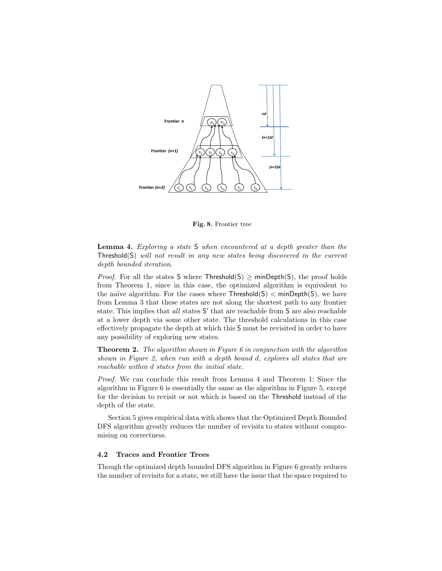

Fig. 8. Frontier tree

Lemma 4. Exploring a state S when encountered at a depth greater than the Threshold(S) will not result in any new states being discovered in the current depth bounded iteration.

*Proof.* For all the states S where Threshold(S)  $\geq$  minDepth(S), the proof holds from Theorem 1, since in this case, the optimized algorithm is equivalent to the naïve algorithm. For the cases where  $Threshold(S) < minDepth(S)$ , we have from Lemma 3 that these states are not along the shortest path to any frontier state. This implies that all states  $S'$  that are reachable from  $S$  are also reachable at a lower depth via some other state. The threshold calculations in this case effectively propagate the depth at which this S must be revisited in order to have any possibility of exploring new states.

**Theorem 2.** The algorithm shown in Figure 6 in conjunction with the algorithm shown in Figure 2, when run with a depth bound d, explores all states that are reachable within d states from the initial state.

Proof. We can conclude this result from Lemma 4 and Theorem 1; Since the algorithm in Figure 6 is essentially the same as the algorithm in Figure 5, except for the decision to revisit or not which is based on the Threshold instead of the depth of the state.

Section 5 gives empirical data with shows that the Optimized Depth Bounded DFS algorithm greatly reduces the number of revisits to states without compromising on correctness.

#### 4.2 Traces and Frontier Trees

Though the optimized depth bounded DFS algorithm in Figure 6 greatly reduces the number of revisits for a state, we still have the issue that the space required to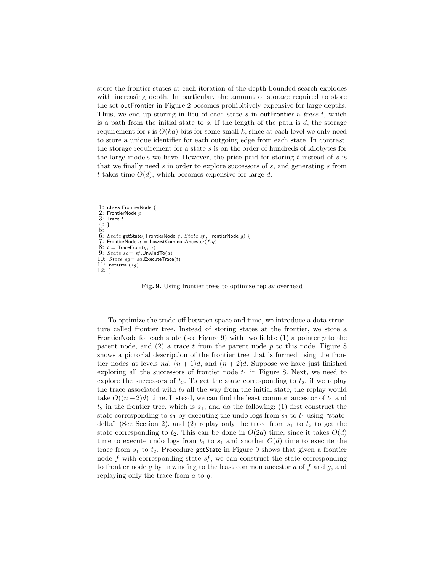store the frontier states at each iteration of the depth bounded search explodes with increasing depth. In particular, the amount of storage required to store the set outFrontier in Figure 2 becomes prohibitively expensive for large depths. Thus, we end up storing in lieu of each state  $s$  in outFrontier a trace  $t$ , which is a path from the initial state to  $s$ . If the length of the path is  $d$ , the storage requirement for t is  $O(kd)$  bits for some small k, since at each level we only need to store a unique identifier for each outgoing edge from each state. In contrast, the storage requirement for a state s is on the order of hundreds of kilobytes for the large models we have. However, the price paid for storing  $t$  instead of  $s$  is that we finally need  $s$  in order to explore successors of  $s$ , and generating  $s$  from t takes time  $O(d)$ , which becomes expensive for large d.

```
1: class FrontierNode {<br>2: FrontierNode nFrontierNode p
3: Trace t4: }
5:
 6: State getState( FrontierNode f, State sf, FrontierNode g) {<br>7: FrontierNode a = LowestCommonAncestor(f,q)
    FrontierNode a = LowestCommonAncestor(f,g)8: t = \text{TraceFrom}(q, a)9: State sa= sf.UnwindTo(a)
10: State sg=sa. Execute Trace(t)11: return (sg)12: }
```
Fig. 9. Using frontier trees to optimize replay overhead

To optimize the trade-off between space and time, we introduce a data structure called frontier tree. Instead of storing states at the frontier, we store a FrontierNode for each state (see Figure 9) with two fields: (1) a pointer p to the parent node, and  $(2)$  a trace t from the parent node p to this node. Figure 8 shows a pictorial description of the frontier tree that is formed using the frontier nodes at levels nd,  $(n + 1)d$ , and  $(n + 2)d$ . Suppose we have just finished exploring all the successors of frontier node  $t_1$  in Figure 8. Next, we need to explore the successors of  $t_2$ . To get the state corresponding to  $t_2$ , if we replay the trace associated with  $t_2$  all the way from the initial state, the replay would take  $O((n+2)d)$  time. Instead, we can find the least common ancestor of  $t_1$  and  $t_2$  in the frontier tree, which is  $s_1$ , and do the following: (1) first construct the state corresponding to  $s_1$  by executing the undo logs from  $s_1$  to  $t_1$  using "statedelta" (See Section 2), and (2) replay only the trace from  $s_1$  to  $t_2$  to get the state corresponding to  $t_2$ . This can be done in  $O(2d)$  time, since it takes  $O(d)$ time to execute undo logs from  $t_1$  to  $s_1$  and another  $O(d)$  time to execute the trace from  $s_1$  to  $t_2$ . Procedure getState in Figure 9 shows that given a frontier node f with corresponding state  $sf$ , we can construct the state corresponding to frontier node g by unwinding to the least common ancestor  $a$  of  $f$  and  $g$ , and replaying only the trace from  $a$  to  $q$ .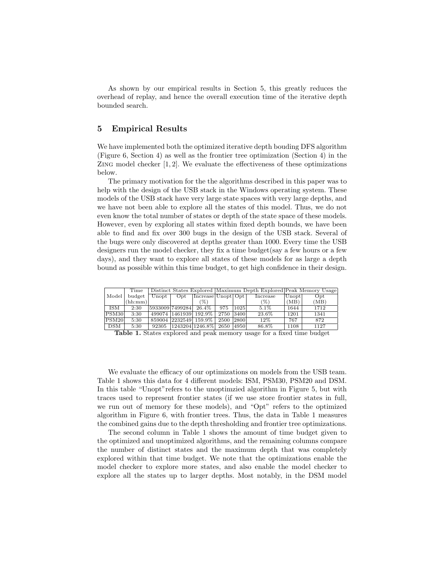As shown by our empirical results in Section 5, this greatly reduces the overhead of replay, and hence the overall execution time of the iterative depth bounded search.

### 5 Empirical Results

We have implemented both the optimized iterative depth bouding DFS algorithm (Figure 6, Section 4) as well as the frontier tree optimization (Section 4) in the Zing model checker [1, 2]. We evaluate the effectiveness of these optimizations below.

The primary motivation for the the algorithms described in this paper was to help with the design of the USB stack in the Windows operating system. These models of the USB stack have very large state spaces with very large depths, and we have not been able to explore all the states of this model. Thus, we do not even know the total number of states or depth of the state space of these models. However, even by exploring all states within fixed depth bounds, we have been able to find and fix over 300 bugs in the design of the USB stack. Several of the bugs were only discovered at depths greater than 1000. Every time the USB designers run the model checker, they fix a time budget(say a few hours or a few days), and they want to explore all states of these models for as large a depth bound as possible within this time budget, to get high confidence in their design.

|       | Time    |                 |                       |                    | Distinct States Explored Maximum Depth Explored Peak Memory Usage |      |          |       |      |
|-------|---------|-----------------|-----------------------|--------------------|-------------------------------------------------------------------|------|----------|-------|------|
| Model | budget  | Unopt           | Opt                   | Increase Unopt Opt |                                                                   |      | Increase | Unopt | Opt  |
|       | (hh:mm) |                 |                       | (%)                |                                                                   |      | (%)      | (MB)  | (MB) |
| ISM   | 2:30    | 5933009 7499284 |                       | $26.4\%$           | 975                                                               | 1025 | $5.1\%$  | 1644  | 1712 |
| PSM30 | 3:30    |                 | 499074 1461939 192.9% |                    | 2750                                                              | 3400 | 23.6%    | 1201  | 1341 |
| PSM20 | 5:30    |                 | 859004 2232549 159.9% |                    | 2500                                                              | 2800 | $12\%$   | 767   | 872  |
| DSM   | 5:30    | 92305           |                       | 1243204 1246.8%    | 2650                                                              | 4950 | 86.8%    | 1108  | 1127 |

Table 1. States explored and peak memory usage for a fixed time budget

We evaluate the efficacy of our optimizations on models from the USB team. Table 1 shows this data for 4 different models: ISM, PSM30, PSM20 and DSM. In this table "Unopt"refers to the unoptimzied algorithm in Figure 5, but with traces used to represent frontier states (if we use store frontier states in full, we run out of memory for these models), and "Opt" refers to the optimized algorithm in Figure 6, with frontier trees. Thus, the data in Table 1 measures the combined gains due to the depth thresholding and frontier tree optimizations.

The second column in Table 1 shows the amount of time budget given to the optimized and unoptimized algorithms, and the remaining columns compare the number of distinct states and the maximum depth that was completely explored within that time budget. We note that the optimizations enable the model checker to explore more states, and also enable the model checker to explore all the states up to larger depths. Most notably, in the DSM model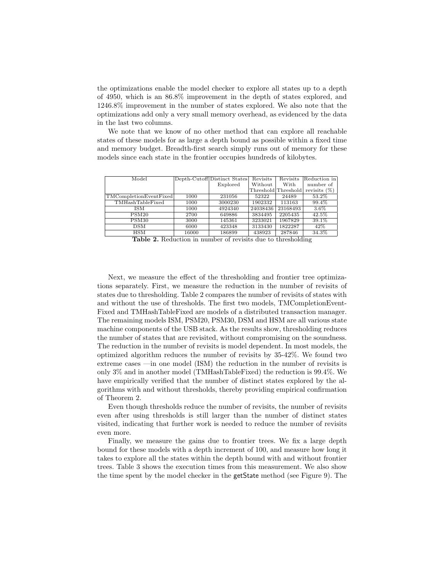the optimizations enable the model checker to explore all states up to a depth of 4950, which is an 86.8% improvement in the depth of states explored, and 1246.8% improvement in the number of states explored. We also note that the optimizations add only a very small memory overhead, as evidenced by the data in the last two columns.

We note that we know of no other method that can explore all reachable states of these models for as large a depth bound as possible within a fixed time and memory budget. Breadth-first search simply runs out of memory for these models since each state in the frontier occupies hundreds of kilobytes.

| Model                  |       | Depth-Cutoff Distinct States | Revisits | Revisits            | Reduction in    |
|------------------------|-------|------------------------------|----------|---------------------|-----------------|
|                        |       | Explored                     | Without  | With                | number of       |
|                        |       |                              |          | Threshold Threshold | revisits $(\%)$ |
| TMCompletionEventFixed | 1000  | 231056                       | 52322    | 24489               | 53.2%           |
| TMHashTableFixed       | 1000  | 3000230                      | 1902332  | 113163              | 99.4%           |
| ISM                    | 1000  | 4924340                      | 24038436 | 23168493            | $3.6\%$         |
| PSM20                  | 2700  | 649886                       | 3834495  | 2205435             | 42.5%           |
| PSM <sub>30</sub>      | 3000  | 145361                       | 3233021  | 1967829             | 39.1%           |
| DSM                    | 6000  | 423348                       | 3133430  | 1822287             | 42%             |
| HSM                    | 16000 | 186899                       | 438923   | 287846              | 34.3%           |

Table 2. Reduction in number of revisits due to thresholding

Next, we measure the effect of the thresholding and frontier tree optimizations separately. First, we measure the reduction in the number of revisits of states due to thresholding. Table 2 compares the number of revisits of states with and without the use of thresholds. The first two models, TMCompletionEvent-Fixed and TMHashTableFixed are models of a distributed transaction manager. The remaining models ISM, PSM20, PSM30, DSM and HSM are all various state machine components of the USB stack. As the results show, thresholding reduces the number of states that are revisited, without compromising on the soundness. The reduction in the number of revisits is model dependent. In most models, the optimized algorithm reduces the number of revisits by 35-42%. We found two extreme cases —in one model (ISM) the reduction in the number of revisits is only 3% and in another model (TMHashTableFixed) the reduction is 99.4%. We have empirically verified that the number of distinct states explored by the algorithms with and without thresholds, thereby providing empirical confirmation of Theorem 2.

Even though thresholds reduce the number of revisits, the number of revisits even after using thresholds is still larger than the number of distinct states visited, indicating that further work is needed to reduce the number of revisits even more.

Finally, we measure the gains due to frontier trees. We fix a large depth bound for these models with a depth increment of 100, and measure how long it takes to explore all the states within the depth bound with and without frontier trees. Table 3 shows the execution times from this measurement. We also show the time spent by the model checker in the getState method (see Figure 9). The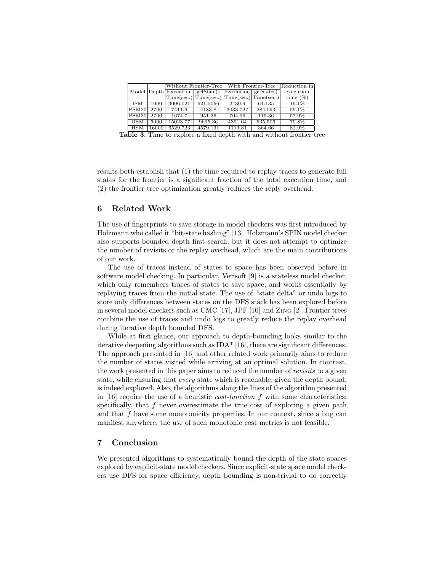|            |       |          | Without Frontier-Tree With Frontier-Tree            |                        | Reduction in |             |
|------------|-------|----------|-----------------------------------------------------|------------------------|--------------|-------------|
|            |       |          | Model Depth Execution getState()                    | Execution   getState() |              | execution   |
|            |       |          | $Time(sec.)   Time(sec.)   Time(sec.)   Time(sec.)$ |                        |              | time $(\%)$ |
| <b>ISM</b> | 1000  | 3006.021 | 621.5066                                            | 2430.9                 | 64.135       | 19.1%       |
| PSM20      | 2700  | 7411.6   | 4183.8                                              | 3033.727               | 284.093      | 59.1%       |
| PSM30      | 2700  | 1674.7   | 951.36                                              | 704.96                 | 115.36       | 57.9%       |
| <b>DSM</b> | 6000  | 15023.77 | 9695.36                                             | 4391.64                | 535.506      | 70.8%       |
| <b>HSM</b> | 16000 | 6529.723 | 4579.131                                            | 1113.81                | 364.66       | 82.9%       |

Table 3. Time to explore a fixed depth with and without frontier tree

results both establish that (1) the time required to replay traces to generate full states for the frontier is a significant fraction of the total execution time, and (2) the frontier tree optimization greatly reduces the reply overhead.

### 6 Related Work

The use of fingerprints to save storage in model checkers was first introduced by Holzmann who called it "bit-state hashing" [13]. Holzmann's SPIN model checker also supports bounded depth first search, but it does not attempt to optimize the number of revisits or the replay overhead, which are the main contributions of our work.

The use of traces instead of states to space has been observed before in software model checking. In particular, Verisoft [9] is a stateless model checker, which only remembers traces of states to save space, and works essentially by replaying traces from the initial state. The use of "state delta" or undo logs to store only differences between states on the DFS stack has been explored before in several model checkers such as CMC [17], JPF [10] and Zing [2]. Frontier trees combine the use of traces and undo logs to greatly reduce the replay overhead during iterative depth bounded DFS.

While at first glance, our approach to depth-bounding looks similar to the iterative deepening algorithms such as IDA\* [16], there are significant differences. The approach presented in [16] and other related work primarily aims to reduce the number of states visited while arriving at an optimal solution. In contrast, the work presented in this paper aims to reduced the number of revisits to a given state, while ensuring that every state which is reachable, given the depth bound, is indeed explored. Also, the algorithms along the lines of the algorithm presented in  $[16]$  require the use of a heuristic *cost-function* f with some characteristics: specifically, that f never overestimate the true cost of exploring a given path and that f have some monotonicity properties. In our context, since a bug can manifest anywhere, the use of such monotonic cost metrics is not feasible.

### 7 Conclusion

We presented algorithms to systematically bound the depth of the state spaces explored by explicit-state model checkers. Since explicit-state space model checkers use DFS for space efficiency, depth bounding is non-trivial to do correctly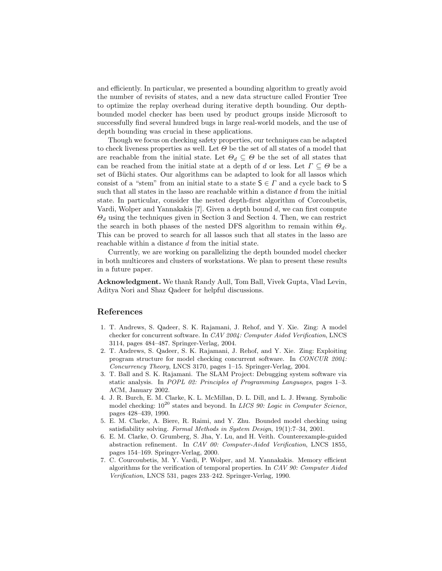and efficiently. In particular, we presented a bounding algorithm to greatly avoid the number of revisits of states, and a new data structure called Frontier Tree to optimize the replay overhead during iterative depth bounding. Our depthbounded model checker has been used by product groups inside Microsoft to successfully find several hundred bugs in large real-world models, and the use of depth bounding was crucial in these applications.

Though we focus on checking safety properties, our techniques can be adapted to check liveness properties as well. Let  $\Theta$  be the set of all states of a model that are reachable from the initial state. Let  $\Theta_d \subseteq \Theta$  be the set of all states that can be reached from the initial state at a depth of d or less. Let  $\Gamma \subseteq \Theta$  be a set of Büchi states. Our algorithms can be adapted to look for all lassos which consist of a "stem" from an initial state to a state  $S \in \Gamma$  and a cycle back to S such that all states in the lasso are reachable within a distance d from the initial state. In particular, consider the nested depth-first algorithm of Corcoubetis, Vardi, Wolper and Yannakakis [7]. Given a depth bound  $d$ , we can first compute  $\Theta_d$  using the techniques given in Section 3 and Section 4. Then, we can restrict the search in both phases of the nested DFS algorithm to remain within  $\Theta_d$ . This can be proved to search for all lassos such that all states in the lasso are reachable within a distance d from the initial state.

Currently, we are working on parallelizing the depth bounded model checker in both multicores and clusters of workstations. We plan to present these results in a future paper.

Acknowledgment. We thank Randy Aull, Tom Ball, Vivek Gupta, Vlad Levin, Aditya Nori and Shaz Qadeer for helpful discussions.

### References

- 1. T. Andrews, S. Qadeer, S. K. Rajamani, J. Rehof, and Y. Xie. Zing: A model checker for concurrent software. In CAV 2004: Computer Aided Verification, LNCS 3114, pages 484–487. Springer-Verlag, 2004.
- 2. T. Andrews, S. Qadeer, S. K. Rajamani, J. Rehof, and Y. Xie. Zing: Exploiting program structure for model checking concurrent software. In CONCUR 2004: Concurrency Theory, LNCS 3170, pages 1–15. Springer-Verlag, 2004.
- 3. T. Ball and S. K. Rajamani. The SLAM Project: Debugging system software via static analysis. In POPL 02: Principles of Programming Languages, pages 1–3. ACM, January 2002.
- 4. J. R. Burch, E. M. Clarke, K. L. McMillan, D. L. Dill, and L. J. Hwang. Symbolic model checking:  $10^{20}$  states and beyond. In *LICS 90: Logic in Computer Science*, pages 428–439, 1990.
- 5. E. M. Clarke, A. Biere, R. Raimi, and Y. Zhu. Bounded model checking using satisfiability solving. Formal Methods in System Design, 19(1):7–34, 2001.
- 6. E. M. Clarke, O. Grumberg, S. Jha, Y. Lu, and H. Veith. Counterexample-guided abstraction refinement. In CAV 00: Computer-Aided Verification, LNCS 1855, pages 154–169. Springer-Verlag, 2000.
- 7. C. Courcoubetis, M. Y. Vardi, P. Wolper, and M. Yannakakis. Memory efficient algorithms for the verification of temporal properties. In CAV 90: Computer Aided Verification, LNCS 531, pages 233–242. Springer-Verlag, 1990.